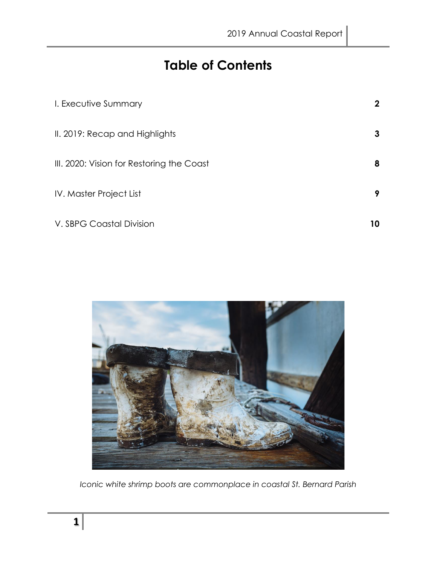# **Table of Contents**

| I. Executive Summary                      | $\mathbf 2$ |
|-------------------------------------------|-------------|
| II. 2019: Recap and Highlights            | 3           |
| III. 2020: Vision for Restoring the Coast | 8           |
| IV. Master Project List                   | 9           |
| V. SBPG Coastal Division                  | 10          |



*Iconic white shrimp boots are commonplace in coastal St. Bernard Parish*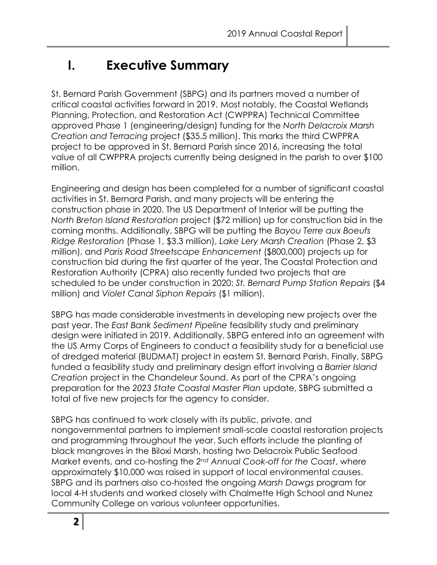# **I. Executive Summary**

St. Bernard Parish Government (SBPG) and its partners moved a number of critical coastal activities forward in 2019. Most notably, the Coastal Wetlands Planning, Protection, and Restoration Act (CWPPRA) Technical Committee approved Phase 1 (engineering/design) funding for the *North Delacroix Marsh Creation and Terracing* project (\$35.5 million). This marks the third CWPPRA project to be approved in St. Bernard Parish since 2016, increasing the total value of all CWPPRA projects currently being designed in the parish to over \$100 million.

Engineering and design has been completed for a number of significant coastal activities in St. Bernard Parish, and many projects will be entering the construction phase in 2020. The US Department of Interior will be putting the *North Breton Island Restoration* project (\$72 million) up for construction bid in the coming months. Additionally, SBPG will be putting the *Bayou Terre aux Boeufs Ridge Restoration* (Phase 1, \$3.3 million), *Lake Lery Marsh Creation* (Phase 2, \$3 million), and *Paris Road Streetscape Enhancement* (\$800,000) projects up for construction bid during the first quarter of the year. The Coastal Protection and Restoration Authority (CPRA) also recently funded two projects that are scheduled to be under construction in 2020: *St. Bernard Pump Station Repairs* (\$4 million) and *Violet Canal Siphon Repairs* (\$1 million).

SBPG has made considerable investments in developing new projects over the past year. The *East Bank Sediment Pipeline* feasibility study and preliminary design were initiated in 2019. Additionally, SBPG entered into an agreement with the US Army Corps of Engineers to conduct a feasibility study for a beneficial use of dredged material (BUDMAT) project in eastern St. Bernard Parish. Finally, SBPG funded a feasibility study and preliminary design effort involving a *Barrier Island Creation* project in the Chandeleur Sound. As part of the CPRA's ongoing preparation for the *2023 State Coastal Master Plan* update, SBPG submitted a total of five new projects for the agency to consider.

SBPG has continued to work closely with its public, private, and nongovernmental partners to implement small-scale coastal restoration projects and programming throughout the year. Such efforts include the planting of black mangroves in the Biloxi Marsh, hosting two Delacroix Public Seafood Market events, and co-hosting the *2nd Annual Cook-off for the Coast*, where approximately \$10,000 was raised in support of local environmental causes. SBPG and its partners also co-hosted the ongoing *Marsh Dawgs* program for local 4-H students and worked closely with Chalmette High School and Nunez Community College on various volunteer opportunities.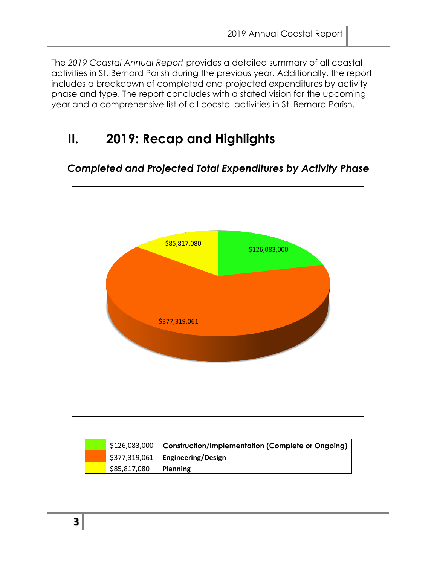The *2019 Coastal Annual Report* provides a detailed summary of all coastal activities in St. Bernard Parish during the previous year. Additionally, the report includes a breakdown of completed and projected expenditures by activity phase and type. The report concludes with a stated vision for the upcoming year and a comprehensive list of all coastal activities in St. Bernard Parish.

# **II. 2019: Recap and Highlights**

# \$126,083,000 \$377,319,061 \$85,817,080

### *Completed and Projected Total Expenditures by Activity Phase*

| \$126,083,000 | <b>Construction/Implementation (Complete or Ongoing)</b> |
|---------------|----------------------------------------------------------|
|               | \$377,319,061 Engineering/Design                         |
| \$85,817,080  | <b>Planning</b>                                          |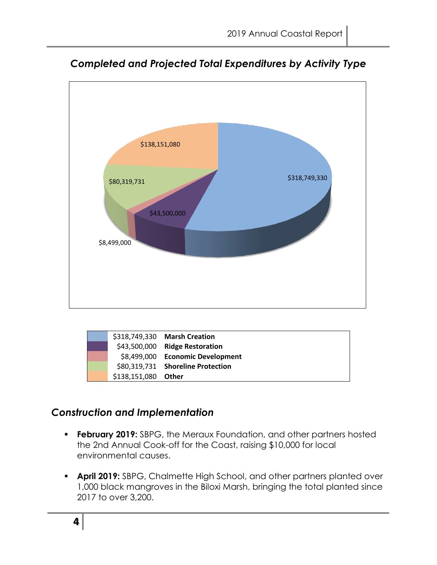

*Completed and Projected Total Expenditures by Activity Type*

|  |                     | \$318,749,330 Marsh Creation      |
|--|---------------------|-----------------------------------|
|  |                     | \$43,500,000 Ridge Restoration    |
|  |                     | \$8,499,000 Economic Development  |
|  |                     | \$80,319,731 Shoreline Protection |
|  | \$138,151,080 Other |                                   |

### *Construction and Implementation*

- **Ebruary 2019:** SBPG, the Meraux Foundation, and other partners hosted the 2nd Annual Cook-off for the Coast, raising \$10,000 for local environmental causes.
- **April 2019:** SBPG, Chalmette High School, and other partners planted over 1,000 black mangroves in the Biloxi Marsh, bringing the total planted since 2017 to over 3,200.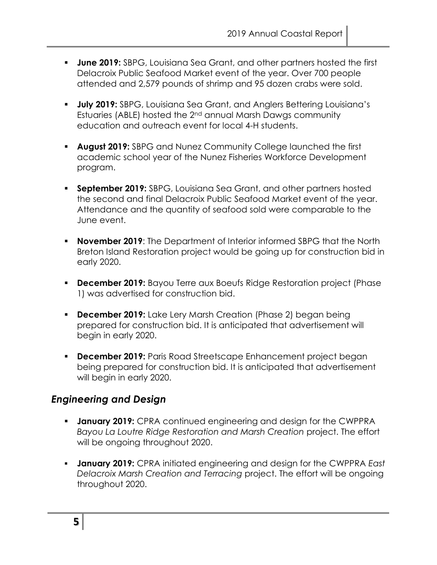- **June 2019:** SBPG, Louisiana Sea Grant, and other partners hosted the first Delacroix Public Seafood Market event of the year. Over 700 people attended and 2,579 pounds of shrimp and 95 dozen crabs were sold.
- **July 2019:** SBPG, Louisiana Sea Grant, and Anglers Bettering Louisiana's Estuaries (ABLE) hosted the 2nd annual Marsh Dawgs community education and outreach event for local 4-H students.
- **August 2019:** SBPG and Nunez Community College launched the first academic school year of the Nunez Fisheries Workforce Development program.
- **Examplember 2019:** SBPG, Louisiana Sea Grant, and other partners hosted the second and final Delacroix Public Seafood Market event of the year. Attendance and the quantity of seafood sold were comparable to the June event.
- **November 2019**: The Department of Interior informed SBPG that the North Breton Island Restoration project would be going up for construction bid in early 2020.
- **December 2019:** Bayou Terre aux Boeufs Ridge Restoration project (Phase 1) was advertised for construction bid.
- **December 2019:** Lake Lery Marsh Creation (Phase 2) began being prepared for construction bid. It is anticipated that advertisement will begin in early 2020.
- **December 2019:** Paris Road Streetscape Enhancement project began being prepared for construction bid. It is anticipated that advertisement will begin in early 2020.

### *Engineering and Design*

- **January 2019:** CPRA continued engineering and design for the CWPPRA *Bayou La Loutre Ridge Restoration and Marsh Creation* project. The effort will be ongoing throughout 2020.
- **January 2019:** CPRA initiated engineering and design for the CWPPRA *East Delacroix Marsh Creation and Terracing* project. The effort will be ongoing throughout 2020.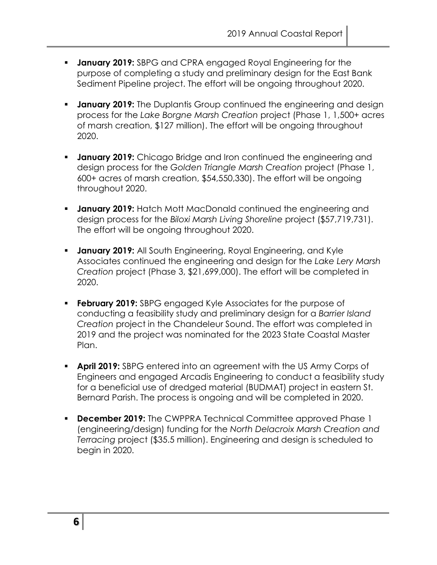- **January 2019:** SBPG and CPRA engaged Royal Engineering for the purpose of completing a study and preliminary design for the East Bank Sediment Pipeline project. The effort will be ongoing throughout 2020.
- **EXT** January 2019: The Duplantis Group continued the engineering and design process for the *Lake Borgne Marsh Creation* project (Phase 1, 1,500+ acres of marsh creation, \$127 million). The effort will be ongoing throughout 2020.
- **January 2019:** Chicago Bridge and Iron continued the engineering and design process for the *Golden Triangle Marsh Creation* project (Phase 1, 600+ acres of marsh creation, \$54,550,330). The effort will be ongoing throughout 2020.
- **E January 2019:** Hatch Mott MacDonald continued the engineering and design process for the *Biloxi Marsh Living Shoreline* project (\$57,719,731). The effort will be ongoing throughout 2020.
- **January 2019:** All South Engineering, Royal Engineering, and Kyle Associates continued the engineering and design for the *Lake Lery Marsh Creation* project (Phase 3, \$21,699,000). The effort will be completed in 2020.
- **Ebruary 2019:** SBPG engaged Kyle Associates for the purpose of conducting a feasibility study and preliminary design for a *Barrier Island Creation* project in the Chandeleur Sound. The effort was completed in 2019 and the project was nominated for the 2023 State Coastal Master Plan.
- **April 2019:** SBPG entered into an agreement with the US Army Corps of Engineers and engaged Arcadis Engineering to conduct a feasibility study for a beneficial use of dredged material (BUDMAT) project in eastern St. Bernard Parish. The process is ongoing and will be completed in 2020.
- **December 2019:** The CWPPRA Technical Committee approved Phase 1 (engineering/design) funding for the *North Delacroix Marsh Creation and Terracing* project (\$35.5 million). Engineering and design is scheduled to begin in 2020.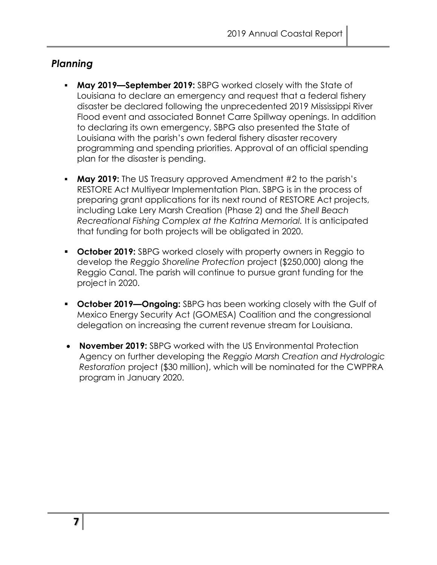### *Planning*

- **May 2019—September 2019:** SBPG worked closely with the State of Louisiana to declare an emergency and request that a federal fishery disaster be declared following the unprecedented 2019 Mississippi River Flood event and associated Bonnet Carre Spillway openings. In addition to declaring its own emergency, SBPG also presented the State of Louisiana with the parish's own federal fishery disaster recovery programming and spending priorities. Approval of an official spending plan for the disaster is pending.
- **May 2019:** The US Treasury approved Amendment #2 to the parish's RESTORE Act Multiyear Implementation Plan. SBPG is in the process of preparing grant applications for its next round of RESTORE Act projects, including Lake Lery Marsh Creation (Phase 2) and the *Shell Beach Recreational Fishing Complex at the Katrina Memorial.* It is anticipated that funding for both projects will be obligated in 2020.
- **October 2019:** SBPG worked closely with property owners in Reggio to develop the *Reggio Shoreline Protection* project (\$250,000) along the Reggio Canal. The parish will continue to pursue grant funding for the project in 2020.
- **October 2019—Ongoing:** SBPG has been working closely with the Gulf of Mexico Energy Security Act (GOMESA) Coalition and the congressional delegation on increasing the current revenue stream for Louisiana.
- **November 2019:** SBPG worked with the US Environmental Protection Agency on further developing the *Reggio Marsh Creation and Hydrologic Restoration* project (\$30 million), which will be nominated for the CWPPRA program in January 2020.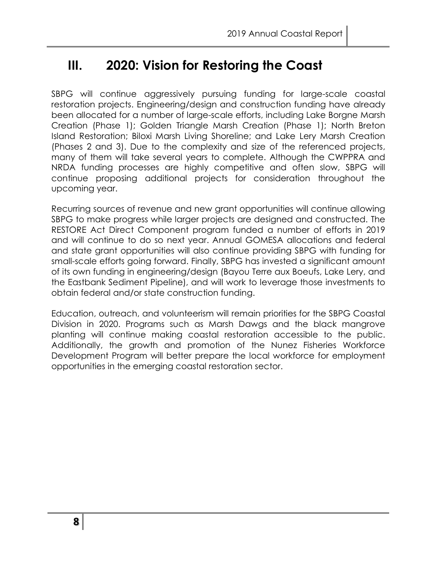## **III. 2020: Vision for Restoring the Coast**

SBPG will continue aggressively pursuing funding for large-scale coastal restoration projects. Engineering/design and construction funding have already been allocated for a number of large-scale efforts, including Lake Borgne Marsh Creation (Phase 1); Golden Triangle Marsh Creation (Phase 1); North Breton Island Restoration; Biloxi Marsh Living Shoreline; and Lake Lery Marsh Creation (Phases 2 and 3). Due to the complexity and size of the referenced projects, many of them will take several years to complete. Although the CWPPRA and NRDA funding processes are highly competitive and often slow, SBPG will continue proposing additional projects for consideration throughout the upcoming year.

Recurring sources of revenue and new grant opportunities will continue allowing SBPG to make progress while larger projects are designed and constructed. The RESTORE Act Direct Component program funded a number of efforts in 2019 and will continue to do so next year. Annual GOMESA allocations and federal and state grant opportunities will also continue providing SBPG with funding for small-scale efforts going forward. Finally, SBPG has invested a significant amount of its own funding in engineering/design (Bayou Terre aux Boeufs, Lake Lery, and the Eastbank Sediment Pipeline), and will work to leverage those investments to obtain federal and/or state construction funding.

Education, outreach, and volunteerism will remain priorities for the SBPG Coastal Division in 2020. Programs such as Marsh Dawgs and the black mangrove planting will continue making coastal restoration accessible to the public. Additionally, the growth and promotion of the Nunez Fisheries Workforce Development Program will better prepare the local workforce for employment opportunities in the emerging coastal restoration sector.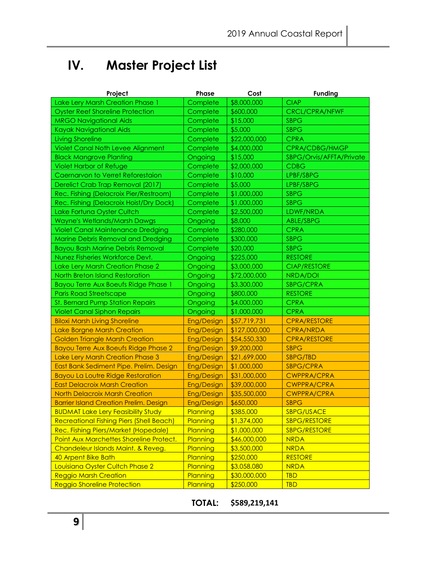# **IV. Master Project List**

| Project                                         | <b>Phase</b>      | Cost          | <b>Funding</b>           |
|-------------------------------------------------|-------------------|---------------|--------------------------|
| Lake Lery Marsh Creation Phase 1                | Complete          | \$8,000,000   | <b>CIAP</b>              |
| <b>Oyster Reef Shoreline Protection</b>         | Complete          | \$600,000     | <b>CRCL/CPRA/NFWF</b>    |
| <b>MRGO Navigational Aids</b>                   | Complete          | \$15,000      | <b>SBPG</b>              |
| Kayak Navigational Aids                         | Complete          | \$5,000       | <b>SBPG</b>              |
| <b>Living Shoreline</b>                         | Complete          | \$22,000,000  | <b>CPRA</b>              |
| Violet Canal Noth Levee Alignment               | Complete          | \$4,000,000   | CPRA/CDBG/HMGP           |
| <b>Black Mangrove Planting</b>                  | Ongoing           | \$15,000      | SBPG/Orvis/AFFTA/Private |
| <b>Violet Harbor of Refuge</b>                  | Complete          | \$2,000,000   | <b>CDBG</b>              |
| Caernarvon to Verret Reforestaion               | Complete          | \$10,000      | LPBF/SBPG                |
| Derelict Crab Trap Removal (2017)               | Complete          | \$5,000       | LPBF/SBPG                |
| Rec. Fishing (Delacroix Pier/Restroom)          | Complete          | \$1,000,000   | <b>SBPG</b>              |
| Rec. Fishing (Delacroix Hoist/Dry Dock)         | Complete          | \$1,000,000   | <b>SBPG</b>              |
| Lake Fortuna Oyster Cultch                      | Complete          | \$2,500,000   | LDWF/NRDA                |
| Wayne's Wetlands/Marsh Dawgs                    | Ongoing           | \$8,000       | ABLE/SBPG                |
| <b>Violet Canal Maintenance Dredging</b>        | Complete          | \$280,000     | <b>CPRA</b>              |
| <b>Marine Debris Removal and Dredging</b>       | Complete          | \$300,000     | <b>SBPG</b>              |
| <b>Bayou Bash Marine Debris Removal</b>         | Complete          | \$20,000      | <b>SBPG</b>              |
| Nunez Fisheries Workforce Devt.                 | Ongoing           | \$225,000     | <b>RESTORE</b>           |
| Lake Lery Marsh Creation Phase 2                | Ongoing           | \$3,000,000   | <b>CIAP/RESTORE</b>      |
| North Breton Island Restoration                 | Ongoing           | \$72,000,000  | NRDA/DOI                 |
| Bayou Terre Aux Boeufs Ridge Phase 1            | Ongoing           | \$3,300,000   | SBPG/CPRA                |
| <b>Paris Road Streetscape</b>                   | Ongoing           | \$800,000     | <b>RESTORE</b>           |
| St. Bernard Pump Station Repairs                | Ongoing           | \$4,000,000   | <b>CPRA</b>              |
| <b>Violet Canal Siphon Repairs</b>              | Ongoing           | \$1,000,000   | <b>CPRA</b>              |
| <b>Biloxi Marsh Living Shoreline</b>            | Eng/Design        | \$57,719,731  | <b>CPRA/RESTORE</b>      |
| Lake Borgne Marsh Creation                      | <b>Eng/Design</b> | \$127,000,000 | <b>CPRA/NRDA</b>         |
| <b>Golden Triangle Marsh Creation</b>           | <b>Eng/Design</b> | \$54,550,330  | <b>CPRA/RESTORE</b>      |
| <b>Bayou Terre Aux Boeufs Ridge Phase 2</b>     | Eng/Design        | \$9,200,000   | <b>SBPG</b>              |
| Lake Lery Marsh Creation Phase 3                | Eng/Design        | \$21,699,000  | SBPG/TBD                 |
| East Bank Sediment Pipe. Prelim. Design         | <b>Eng/Design</b> | \$1,000,000   | <b>SBPG/CPRA</b>         |
| <b>Bayou La Loutre Ridge Restoration</b>        | <b>Eng/Design</b> | \$31,000,000  | <b>CWPPRA/CPRA</b>       |
| <b>East Delacroix Marsh Creation</b>            | <b>Eng/Design</b> | \$39,000,000  | <b>CWPPRA/CPRA</b>       |
| <b>North Delacroix Marsh Creation</b>           | Eng/Design        | \$35,500,000  | <b>CWPPRA/CPRA</b>       |
| <b>Barrier Island Creation Prelim. Design</b>   | Eng/Design        | \$650,000     | <b>SBPG</b>              |
| <b>BUDMAT Lake Lery Feasibility Study</b>       | Planning          | \$385,000     | SBPG/USACE               |
| <b>Recreational Fishing Piers (Shell Beach)</b> | Planning          | \$1,374,000   | <b>SBPG/RESTORE</b>      |
| Rec. Fishing Piers/Market (Hopedale)            | Planning          | \$1,000,000   | <b>SBPG/RESTORE</b>      |
| Point Aux Marchettes Shoreline Protect.         | Planning          | \$46,000,000  | <b>NRDA</b>              |
| Chandeleur Islands Maint. & Reveg.              | Planning          | \$3,500,000   | <b>NRDA</b>              |
| 40 Arpent Bike Bath                             | Planning          | \$250,000     | <b>RESTORE</b>           |
| Louisiana Oyster Cultch Phase 2                 | Planning          | \$3,058,080   | <b>NRDA</b>              |
| <b>Reggio Marsh Creation</b>                    | Planning          | \$30,000,000  | <b>TBD</b>               |
| <b>Reggio Shoreline Protection</b>              | Planning          | \$250,000     | <b>TBD</b>               |

### **TOTAL: \$589,219,141**